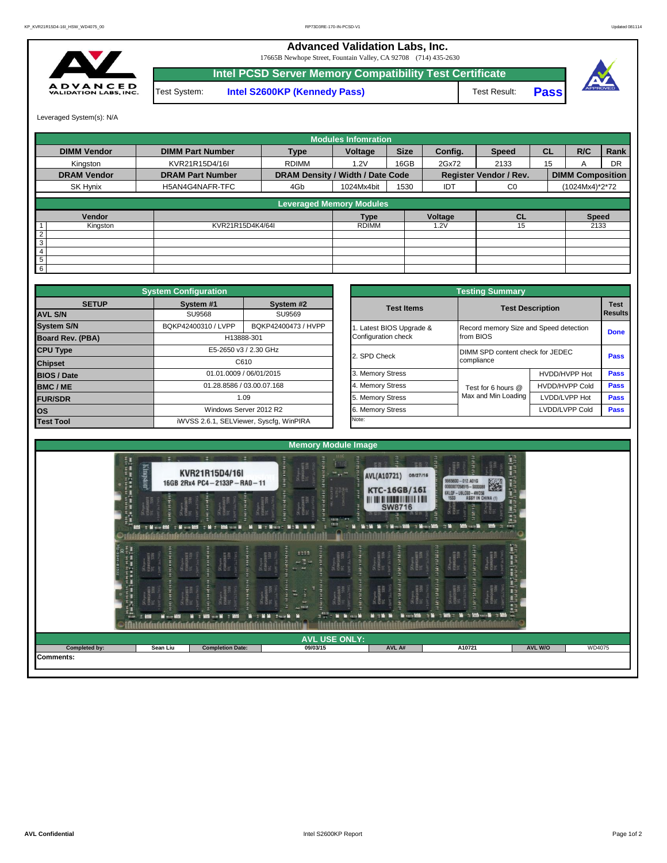## **Advanced Validation Labs, Inc.**

17665B Newhope Street, Fountain Valley, CA 92708 (714) 435-2630



**Intel PCSD Server Memory Compatibility Test Certificate** Test System: **Intel S2600KP (Kennedy Pass)** Test Result:





Leveraged System(s): N/A

|                    |                         |                                  | <b>Modules Infomration</b> |             |         |                               |           |                         |      |
|--------------------|-------------------------|----------------------------------|----------------------------|-------------|---------|-------------------------------|-----------|-------------------------|------|
| <b>DIMM Vendor</b> | <b>DIMM Part Number</b> | <b>Type</b>                      | Voltage                    | <b>Size</b> | Config. | <b>Speed</b>                  | <b>CL</b> | R/C                     | Rank |
| Kingston           | KVR21R15D4/16I          | <b>RDIMM</b>                     | 1.2V                       | 16GB        | 2Gx72   | 2133                          | 15        |                         | DR   |
| <b>DRAM Vendor</b> | <b>DRAM Part Number</b> | DRAM Density / Width / Date Code |                            |             |         | <b>Register Vendor / Rev.</b> |           | <b>DIMM Composition</b> |      |
| SK Hynix           | H5AN4G4NAFR-TFC         | 4Gb                              | 1024Mx4bit                 | 1530        | IDT     | C <sub>0</sub>                |           | (1024Mx4)*2*72          |      |
|                    |                         | <b>Leveraged Memory Modules</b>  |                            |             |         |                               |           |                         |      |
|                    |                         |                                  |                            |             |         |                               |           |                         |      |
| Vendor             |                         |                                  | <b>Type</b>                |             | Voltage | <b>CL</b>                     |           | <b>Speed</b>            |      |
| Kingston           | KVR21R15D4K4/64I        |                                  | <b>RDIMM</b>               |             | .2V     | 15                            |           | 2133                    |      |
| $\overline{2}$     |                         |                                  |                            |             |         |                               |           |                         |      |
| 3                  |                         |                                  |                            |             |         |                               |           |                         |      |
| $\overline{4}$     |                         |                                  |                            |             |         |                               |           |                         |      |
| 5                  |                         |                                  |                            |             |         |                               |           |                         |      |
| 6                  |                         |                                  |                            |             |         |                               |           |                         |      |

|                                   | <b>System Configuration</b>                |                                         |                       |                                        | <b>Testing Summary</b> |                                  |             |  |  |
|-----------------------------------|--------------------------------------------|-----------------------------------------|-----------------------|----------------------------------------|------------------------|----------------------------------|-------------|--|--|
| <b>SETUP</b>                      | System #1                                  | System #2                               |                       | <b>Test Items</b>                      |                        | <b>Test Description</b>          |             |  |  |
| <b>AVL S/N</b>                    | SU9568                                     | SU9569                                  |                       |                                        |                        |                                  | Results     |  |  |
| <b>System S/N</b>                 | BQKP42400473 / HVPP<br>BQKP42400310 / LVPP |                                         | Latest BIOS Upgrade & | Record memory Size and Speed detection |                        | <b>Done</b>                      |             |  |  |
| Board Rev. (PBA)                  |                                            | H13888-301                              |                       | Configuration check                    | from BIOS              |                                  |             |  |  |
| <b>CPU Type</b><br><b>Chipset</b> |                                            | E5-2650 v3 / 2.30 GHz                   |                       | 2. SPD Check                           |                        | DIMM SPD content check for JEDEC |             |  |  |
|                                   |                                            | C610                                    |                       |                                        | compliance             |                                  |             |  |  |
| <b>BIOS / Date</b>                |                                            | 01.01.0009 / 06/01/2015                 |                       | 3. Memory Stress                       |                        | HVDD/HVPP Hot                    | <b>Pass</b> |  |  |
| <b>BMC/ME</b>                     |                                            | 01.28.8586 / 03.00.07.168               |                       | 4. Memory Stress                       | Test for 6 hours @     | <b>HVDD/HVPP Cold</b>            | <b>Pass</b> |  |  |
| <b>FUR/SDR</b>                    | 1.09                                       |                                         |                       |                                        | Max and Min Loading    | LVDD/LVPP Hot                    | <b>Pass</b> |  |  |
| <b>los</b>                        |                                            | Windows Server 2012 R2                  |                       | 6. Memory Stress                       |                        | LVDD/LVPP Cold                   | Pass        |  |  |
| <b>Test Tool</b>                  |                                            | iWVSS 2.6.1, SELViewer, Syscfq, WinPIRA |                       | Note:                                  |                        |                                  |             |  |  |

|              | <b>System Configuration</b> |                                         | <b>Testing Summary</b> |                                        |                       |                                                                                      |  |  |  |  |  |  |
|--------------|-----------------------------|-----------------------------------------|------------------------|----------------------------------------|-----------------------|--------------------------------------------------------------------------------------|--|--|--|--|--|--|
| <b>SETUP</b> | System #1                   | System #2                               | <b>Test Items</b>      | <b>Test Description</b>                |                       |                                                                                      |  |  |  |  |  |  |
|              | <b>SU9568</b>               | SU9569                                  |                        |                                        |                       |                                                                                      |  |  |  |  |  |  |
|              | BQKP42400310 / LVPP         | BQKP42400473 / HVPP                     | Latest BIOS Upgrade &  | Record memory Size and Speed detection |                       |                                                                                      |  |  |  |  |  |  |
| PBA)         |                             | H13888-301                              | Configuration check    | from BIOS                              |                       | <b>Test</b><br><b>Results</b><br><b>Done</b><br>Pass<br>Pass<br>Pass<br>Pass<br>Pass |  |  |  |  |  |  |
|              |                             | E5-2650 v3 / 2.30 GHz                   | 2. SPD Check           | DIMM SPD content check for JEDEC       |                       |                                                                                      |  |  |  |  |  |  |
|              |                             | C610                                    |                        | compliance                             |                       |                                                                                      |  |  |  |  |  |  |
|              |                             | 01.01.0009 / 06/01/2015                 | 3. Memory Stress       |                                        | HVDD/HVPP Hot         |                                                                                      |  |  |  |  |  |  |
|              |                             | 01.28.8586 / 03.00.07.168               | 4. Memory Stress       | Test for 6 hours @                     | <b>HVDD/HVPP Cold</b> |                                                                                      |  |  |  |  |  |  |
|              |                             | 1.09                                    | 5. Memory Stress       | Max and Min Loading                    | LVDD/LVPP Hot         |                                                                                      |  |  |  |  |  |  |
|              |                             | Windows Server 2012 R2                  | 6. Memory Stress       |                                        | LVDD/LVPP Cold        |                                                                                      |  |  |  |  |  |  |
|              |                             | iWVSS 2.6.1, SELViewer, Syscfq, WinPIRA | Note:                  |                                        |                       |                                                                                      |  |  |  |  |  |  |

| EN INNENER NAMEEMAAR WAT IN DE                            | Kingston                                   | KVR21R15D4/16I<br>16GB 2Rx4 PC4-2133P-RA0-11                                                           | $\Box$<br>this.<br>m                                                                                         | e<br>"甚者 3<br>58 2<br><b>AVL(A10721)</b><br>08/27/16<br><b>KTC-16GB/16I</b>          | B<br>Ĥ<br>9965600 - 012.A016<br>0000007058515 - 5000088<br>6XLQF - U9LC60 - 4WD56<br>1533 - ASSY IN CHINA (1)                                                                                                                                                                                                                                                                                          |                                 |
|-----------------------------------------------------------|--------------------------------------------|--------------------------------------------------------------------------------------------------------|--------------------------------------------------------------------------------------------------------------|--------------------------------------------------------------------------------------|--------------------------------------------------------------------------------------------------------------------------------------------------------------------------------------------------------------------------------------------------------------------------------------------------------------------------------------------------------------------------------------------------------|---------------------------------|
|                                                           |                                            | SK hynia<br>15881618671<br>17C 330H<br>SK hynix<br>15100 (Amata<br>1112 - 23100<br>E HE<br><b>TELE</b> | SKhynik<br>HÖRMENAMEN<br>TEC STOW<br>inii i<br>10.00                                                         | III IIII I III<br><b>SW8716</b><br><b>Mit M 1 Minutes 2006 11 Minutes 2006 11:30</b> | <b>THATHER</b><br>an ia<br>$\frac{36 \pi m}{112}$<br>$\rightarrow$                                                                                                                                                                                                                                                                                                                                     |                                 |
|                                                           | <b>HILER</b>                               | SChymnes<br>EDANGHAIRE<br>ican u<br>SK hynia<br>HSAM (SIAFF<br>TEC 5301                                | 3333<br><b>Hypning</b><br>BREEMER<br>Skiyear<br>HANGHAFF<br><b>Bearing</b><br>$\rightarrow$                  | <b>The State</b><br>SK hymna<br>158844887<br>SK hynia<br>⊪5ли€ний⊞<br>11tt 330W      | <b>MATERIAL</b><br><b>Antistan</b><br>SKhynia<br>IEBMEHINFR<br>TEC S10H<br>SKhynix<br>H58MGHMFR<br>IFC                                                                                                                                                                                                                                                                                                 | 2012年1月18日 小さなだ つまなだし           |
| <b>THE THE REAL PROPERTY AND ALL PROPERTY AND INCOME.</b> | <b>MARINER</b><br><b>MM</b><br><b>Kith</b> | retta<br>GEARFI<br>SChymr<br>1980(стата)<br><b>M : 800 -- M : 800</b>                                  | Return<br>MEGINIAFR<br>Ε<br>n.<br>Au FELD<br>$2.75 \pm 10$ . In case 10 .<br><b>North Miller Street Inc.</b> | Schpain<br>EGMKGHARA<br>Sthynia<br>HSMKGHMFH<br>IFC 530H<br><b>Tache</b>             | accounts:<br>Skingeiz<br>HSMK(HMK)<br>$\begin{array}{ll}\n 30.64 & \text{Mn} & \text{Mn} & \text{Mn} \\ 10.00 & 0.000 & 0.000 & 0.000 & 0.000 & 0.000 & 0.000 & 0.000 & 0.000 & 0.000 & 0.000 & 0.000 & 0.000 & 0.000 & 0.000 & 0.000 & 0.000 & 0.000 & 0.000 & 0.000 & 0.000 & 0.000 & 0.000 & 0.000 & 0.000 & 0.000 & 0$<br><b>THEFT</b><br><b>Mith Million Mills of Michael Michael And College</b> |                                 |
|                                                           |                                            |                                                                                                        | <b>AVL USE ONLY:</b>                                                                                         |                                                                                      |                                                                                                                                                                                                                                                                                                                                                                                                        |                                 |
| Completed by:                                             | Sean Liu                                   | <b>Completion Date:</b>                                                                                | 09/03/15                                                                                                     | AVL A#                                                                               | A10721                                                                                                                                                                                                                                                                                                                                                                                                 | <b>WD4075</b><br><b>AVL W/O</b> |